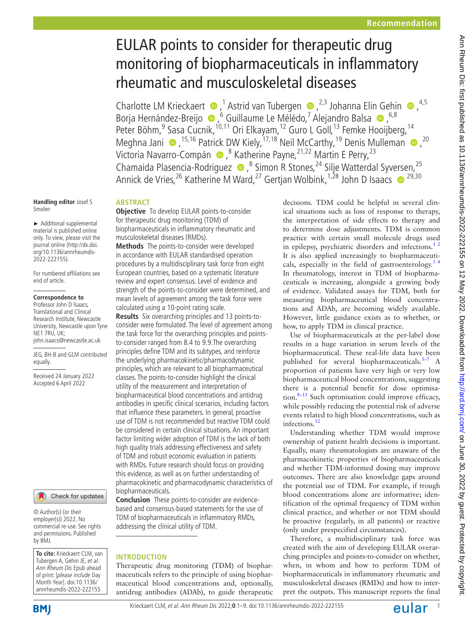# EULAR points to consider for therapeutic drug monitoring of biopharmaceuticals in inflammatory rheumatic and musculoskeletal diseases

CharlotteLM Krieckaert  $\bullet$ ,<sup>1</sup> Astrid van Tubergen  $\bullet$ ,<sup>2,3</sup> Johanna Elin Gehin  $\bullet$ ,<sup>4,5</sup> BorjaHernández-Breijo  $\bullet$ , <sup>6</sup> Guillaume Le Mélédo, <sup>7</sup> Alejandro Balsa  $\bullet$ , <sup>6,8</sup> Peter Böhm,<sup>9</sup> Sasa Cucnik,<sup>10,11</sup> Ori Elkayam,<sup>12</sup> Guro L Goll,<sup>13</sup> Femke Hooijberg,<sup>14</sup> MeghnaJani  $\bullet$ , <sup>15,16</sup> Patrick DW Kiely, <sup>17,18</sup> Neil McCarthy, <sup>19</sup> Denis Mulleman  $\bullet$ , <sup>20</sup> VictoriaNavarro-Compán (D, <sup>8</sup> Katherine Payne, 21,22 Martin E Perry, 23 Chamaida Plasencia-Rodriguez  $\bullet$ ,<sup>8</sup> Simon R Stones,<sup>24</sup> Silje Watterdal Syversen,<sup>25</sup> Annick de Vries, <sup>26</sup> Katherine M Ward, <sup>27</sup> Gertjan Wolbink, <sup>1,28</sup> John D Isaacs  $\bullet$  <sup>29,30</sup>

**Handling editor** Josef S Smolen

► Additional supplemental material is published online only. To view, please visit the journal online ([http://dx.doi.](http://dx.doi.org/10.1136/annrheumdis-2022-222155) [org/10.1136/annrheumdis-](http://dx.doi.org/10.1136/annrheumdis-2022-222155)[2022-222155\)](http://dx.doi.org/10.1136/annrheumdis-2022-222155).

For numbered affiliations see end of article.

#### **Correspondence to**

Professor John D Isaacs, Translational and Clinical Research Institute, Newcastle University, Newcastle upon Tyne NE1 7RU, UK: john.isaacs@newcastle.ac.uk

JEG, BH-B and GLM contributed equally.

Received 24 January 2022 Accepted 6 April 2022

#### Check for updates

© Author(s) (or their employer(s)) 2022. No commercial re-use. See rights and permissions. Published by BMJ.

**To cite:** Krieckaert CLM, van Tubergen A, Gehin JE, et al. Ann Rheum Dis Epub ahead of print: [please include Day Month Year]. doi:10.1136/ annrheumdis-2022-222155

## **ABSTRACT**

**Objective** To develop EULAR points-to-consider for therapeutic drug monitoring (TDM) of biopharmaceuticals in inflammatory rheumatic and musculoskeletal diseases (RMDs).

**Methods** The points-to-consider were developed in accordance with EULAR standardised operation procedures by a multidisciplinary task force from eight European countries, based on a systematic literature review and expert consensus. Level of evidence and strength of the points-to-consider were determined, and mean levels of agreement among the task force were calculated using a 10-point rating scale.

**Results** Six overarching principles and 13 points-toconsider were formulated. The level of agreement among the task force for the overarching principles and pointsto-consider ranged from 8.4 to 9.9.The overarching principles define TDM and its subtypes, and reinforce the underlying pharmacokinetic/pharmacodynamic principles, which are relevant to all biopharmaceutical classes. The points-to-consider highlight the clinical utility of the measurement and interpretation of biopharmaceutical blood concentrations and antidrug antibodies in specific clinical scenarios, including factors that influence these parameters. In general, proactive use of TDM is not recommended but reactive TDM could be considered in certain clinical situations. An important factor limiting wider adoption of TDM is the lack of both high quality trials addressing effectiveness and safety of TDM and robust economic evaluation in patients with RMDs. Future research should focus on providing this evidence, as well as on further understanding of pharmacokinetic and pharmacodynamic characteristics of biopharmaceuticals.

**Conclusion** These points-to-consider are evidencebased and consensus-based statements for the use of TDM of biopharmaceuticals in inflammatory RMDs, addressing the clinical utility of TDM.

#### **INTRODUCTION**

Therapeutic drug monitoring (TDM) of biopharmaceuticals refers to the principle of using biopharmaceutical blood concentrations and, optionally, antidrug antibodies (ADAb), to guide therapeutic decisions. TDM could be helpful in several clinical situations such as loss of response to therapy, the interpretation of side effects to therapy and to determine dose adjustments. TDM is common practice with certain small molecule drugs used in epilepsy, psychiatric disorders and infections. $12$ It is also applied increasingly to biopharmaceuticals, especially in the field of gastroenterology.<sup>34</sup> In rheumatology, interest in TDM of biopharmaceuticals is increasing, alongside a growing body of evidence. Validated assays for TDM, both for measuring biopharmaceutical blood concentrations and ADAb, are becoming widely available. However, little guidance exists as to whether, or how, to apply TDM in clinical practice.

Use of biopharmaceuticals at the per-label dose results in a huge variation in serum levels of the biopharmaceutical. These real-life data have been published for several biopharmaceuticals[.5–7](#page-7-2) A proportion of patients have very high or very low biopharmaceutical blood concentrations, suggesting there is a potential benefit for dose optimisation. $8-11$  Such optimisation could improve efficacy, while possibly reducing the potential risk of adverse events related to high blood concentrations, such as infections.<sup>[12](#page-7-4)</sup>

Understanding whether TDM would improve ownership of patient health decisions is important. Equally, many rheumatologists are unaware of the pharmacokinetic properties of biopharmaceuticals and whether TDM-informed dosing may improve outcomes. There are also knowledge gaps around the potential use of TDM. For example, if trough blood concentrations alone are informative; identification of the optimal frequency of TDM within clinical practice, and whether or not TDM should be proactive (regularly, in all patients) or reactive (only under prespecified circumstances).

Therefore, a multidisciplinary task force was created with the aim of developing EULAR overarching principles and points-to-consider on whether, when, in whom and how to perform TDM of biopharmaceuticals in inflammatory rheumatic and musculoskeletal diseases (RMDs) and how to interpret the outputs. This manuscript reports the final

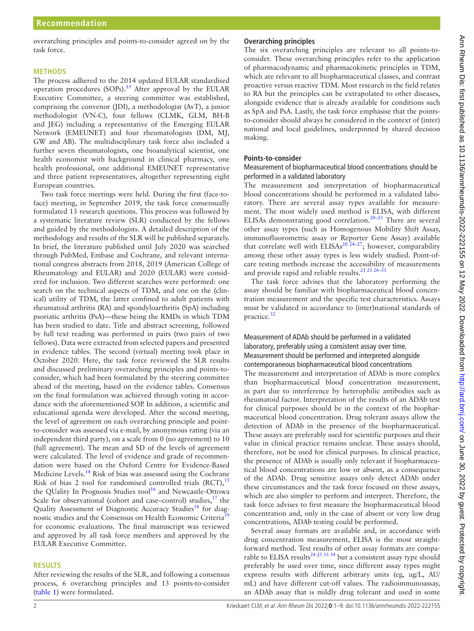overarching principles and points-to-consider agreed on by the task force.

#### **METHODS**

The process adhered to the 2014 updated EULAR standardised operation procedures (SOPs).<sup>13</sup> After approval by the EULAR Executive Committee, a steering committee was established, comprising the convenor (JDI), a methodologist (AvT), a junior methodologist (VN-C), four fellows (CLMK, GLM, BH-B and JEG) including a representative of the Emerging EULAR Network (EMEUNET) and four rheumatologists (DM, MJ, GW and AB). The multidisciplinary task force also included a further seven rheumatologists, one bioanalytical scientist, one health economist with background in clinical pharmacy, one health professional, one additional EMEUNET representative and three patient representatives, altogether representing eight European countries.

Two task force meetings were held. During the first (face-toface) meeting, in September 2019, the task force consensually formulated 13 research questions. This process was followed by a systematic literature review (SLR) conducted by the fellows and guided by the methodologists. A detailed description of the methodology and results of the SLR will be published separately. In brief, the literature published until July 2020 was searched through PubMed, Embase and Cochrane, and relevant international congress abstracts from 2018, 2019 (American College of Rheumatology and EULAR) and 2020 (EULAR) were considered for inclusion. Two different searches were performed: one search on the technical aspects of TDM, and one on the (clinical) utility of TDM, the latter confined to adult patients with rheumatoid arthritis (RA) and spondyloarthritis (SpA) including psoriatic arthritis (PsA)—these being the RMDs in which TDM has been studied to date. Title and abstract screening, followed by full text reading was performed in pairs (two pairs of two fellows). Data were extracted from selected papers and presented in evidence tables. The second (virtual) meeting took place in October 2020. Here, the task force reviewed the SLR results and discussed preliminary overarching principles and points-toconsider, which had been formulated by the steering committee ahead of the meeting, based on the evidence tables. Consensus on the final formulation was achieved through voting in accordance with the aforementioned SOP. In addition, a scientific and educational agenda were developed. After the second meeting, the level of agreement on each overarching principle and pointto-consider was assessed via e-mail, by anonymous rating (via an independent third party), on a scale from 0 (no agreement) to 10 (full agreement). The mean and SD of the levels of agreement were calculated. The level of evidence and grade of recommendation were based on the Oxford Centre for Evidence-Based Medicine Levels.[14](#page-7-6) Risk of bias was assessed using the Cochrane Risk of bias 2 tool for randomised controlled trials  $(RCT)$ ,<sup>[15](#page-7-7)</sup> the QUality In Prognosis Studies tool<sup>16</sup> and Newcastle-Ottowa Scale for observational (cohort and case–control) studies, $17$  the Quality Assessment of Diagnostic Accuracy Studies<sup>[18](#page-7-10)</sup> for diag-nostic studies and the Consensus on Health Economic Criteria<sup>[19](#page-7-11)</sup> for economic evaluations. The final manuscript was reviewed and approved by all task force members and approved by the EULAR Executive Committee.

#### **RESULTS**

After reviewing the results of the SLR, and following a consensus process, 6 overarching principles and 13 points-to-consider ([table](#page-2-0) 1) were formulated.

## **Overarching principles**

The six overarching principles are relevant to all points-toconsider. These overarching principles refer to the application of pharmacodynamic and pharmacokinetic principles in TDM, which are relevant to all biopharmaceutical classes, and contrast proactive versus reactive TDM. Most research in the field relates to RA but the principles can be extrapolated to other diseases, alongside evidence that is already available for conditions such as SpA and PsA. Lastly, the task force emphasise that the pointsto-consider should always be considered in the context of (inter) national and local guidelines, underpinned by shared decision making.

## **Points-to-consider**

Measurement of biopharmaceutical blood concentrations should be performed in a validated laboratory

The measurement and interpretation of biopharmaceutical blood concentrations should be performed in a validated laboratory. There are several assay types available for measurement. The most widely used method is ELISA, with different ELISAs demonstrating good correlation.<sup>[20–23](#page-7-12)</sup> There are several other assay types (such as Homogenous Mobility Shift Assay, immunofluorometric assay or Reporter Gene Assay) available that correlate well with  $ELISA<sup>20,24–27</sup>$ ; however, comparability among these other assay types is less widely studied. Point-ofcare testing methods increase the accessibility of measurements and provide rapid and reliable results.<sup>21</sup> <sup>23</sup> <sup>28-31</sup>

The task force advises that the laboratory performing the assay should be familiar with biopharmaceutical blood concentration measurement and the specific test characteristics. Assays must be validated in accordance to (inter)national standards of practice.<sup>[32](#page-7-14)</sup>

## Measurement of ADAb should be performed in a validated laboratory, preferably using a consistent assay over time. Measurement should be performed and interpreted alongside contemporaneous biopharmaceutical blood concentrations

The measurement and interpretation of ADAb is more complex than biopharmaceutical blood concentration measurement, in part due to interference by heterophilic antibodies such as rheumatoid factor. Interpretation of the results of an ADAb test for clinical purposes should be in the context of the biopharmaceutical blood concentration. Drug tolerant assays allow the detection of ADAb in the presence of the biopharmaceutical. These assays are preferably used for scientific purposes and their value in clinical practice remains unclear. These assays should, therefore, not be used for clinical purposes. In clinical practice, the presence of ADAb is usually only relevant if biopharmaceutical blood concentrations are low or absent, as a consequence of the ADAb. Drug sensitive assays only detect ADAb under these circumstances and the task force focused on these assays, which are also simpler to perform and interpret. Therefore, the task force advises to first measure the biopharmaceutical blood concentration and, only in the case of absent or very low drug concentrations, ADAb testing could be performed.

Several assay formats are available and, in accordance with drug concentration measurement, ELISA is the most straightforward method. Test results of other assay formats are comparable to ELISA results<sup>24 25 33 34</sup> but a consistent assay type should preferably be used over time, since different assay types might express results with different arbitrary units (eg, ug/L, AU/ mL) and have different cut-off values. The radioimmunoassay, an ADAb assay that is mildly drug tolerant and used in some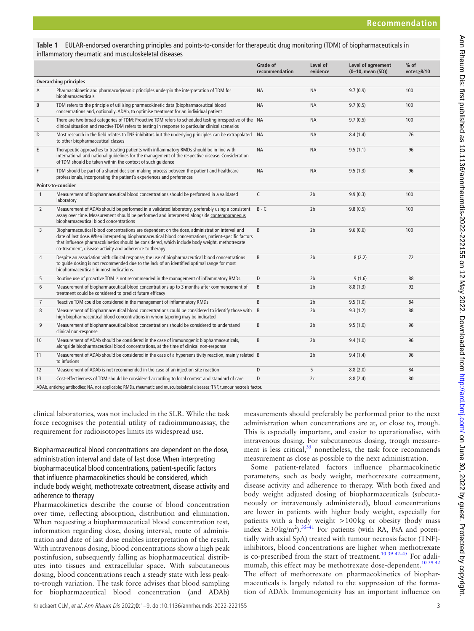<span id="page-2-0"></span>

| Table 1 EULAR-endorsed overarching principles and points-to-consider for therapeutic drug monitoring (TDM) of biopharmaceuticals in |
|-------------------------------------------------------------------------------------------------------------------------------------|
| inflammatory rheumatic and musculoskeletal diseases                                                                                 |

|                               |                                                                                                                                                                                                                                                                                                                                                                    | Grade of<br>recommendation | Level of<br>evidence | Level of agreement<br>(0-10, mean (SD)) | $%$ of<br>votes≥8/10 |  |  |
|-------------------------------|--------------------------------------------------------------------------------------------------------------------------------------------------------------------------------------------------------------------------------------------------------------------------------------------------------------------------------------------------------------------|----------------------------|----------------------|-----------------------------------------|----------------------|--|--|
| <b>Overarching principles</b> |                                                                                                                                                                                                                                                                                                                                                                    |                            |                      |                                         |                      |  |  |
| Α                             | Pharmacokinetic and pharmacodynamic principles underpin the interpretation of TDM for<br>biopharmaceuticals                                                                                                                                                                                                                                                        | <b>NA</b>                  | <b>NA</b>            | 9.7(0.9)                                | 100                  |  |  |
| B                             | TDM refers to the principle of utilising pharmacokinetic data (biopharmaceutical blood<br>concentrations and, optionally, ADAb, to optimise treatment for an individual patient                                                                                                                                                                                    | <b>NA</b>                  | <b>NA</b>            | 9.7(0.5)                                | 100                  |  |  |
| C                             | There are two broad categories of TDM: Proactive TDM refers to scheduled testing irrespective of the NA<br>clinical situation and reactive TDM refers to testing in response to particular clinical scenarios                                                                                                                                                      |                            | <b>NA</b>            | 9.7(0.5)                                | 100                  |  |  |
| D                             | Most research in the field relates to TNF-inhibitors but the underlying principles can be extrapolated NA<br>to other biopharmaceutical classes                                                                                                                                                                                                                    |                            | ΝA                   | 8.4(1.4)                                | 76                   |  |  |
| E                             | Therapeutic approaches to treating patients with inflammatory RMDs should be in line with<br>international and national quidelines for the management of the respective disease. Consideration<br>of TDM should be taken within the context of such quidance                                                                                                       | <b>NA</b>                  | <b>NA</b>            | 9.5(1.1)                                | 96                   |  |  |
| F                             | TDM should be part of a shared decision making process between the patient and healthcare<br>professionals, incorporating the patient's experiences and preferences                                                                                                                                                                                                | <b>NA</b>                  | <b>NA</b>            | 9.5(1.3)                                | 96                   |  |  |
| Points-to-consider            |                                                                                                                                                                                                                                                                                                                                                                    |                            |                      |                                         |                      |  |  |
| $\mathbf{1}$                  | Measurement of biopharmaceutical blood concentrations should be performed in a validated<br>laboratory                                                                                                                                                                                                                                                             | $\mathsf{C}$               | 2 <sub>b</sub>       | 9.9(0.3)                                | 100                  |  |  |
| 2                             | Measurement of ADAb should be performed in a validated laboratory, preferably using a consistent<br>assay over time. Measurement should be performed and interpreted alongside contemporaneous<br>biopharmaceutical blood concentrations                                                                                                                           | $B - C$                    | 2 <sub>b</sub>       | 9.8(0.5)                                | 100                  |  |  |
| 3                             | Biopharmaceutical blood concentrations are dependent on the dose, administration interval and<br>date of last dose. When interpreting biopharmaceutical blood concentrations, patient-specific factors<br>that influence pharmacokinetics should be considered, which include body weight, methotrexate<br>co-treatment, disease activity and adherence to therapy | B                          | 2 <sub>b</sub>       | 9.6(0.6)                                | 100                  |  |  |
| 4                             | Despite an association with clinical response, the use of biopharmaceutical blood concentrations<br>to quide dosing is not recommended due to the lack of an identified optimal range for most<br>biopharmaceuticals in most indications.                                                                                                                          | B                          | 2 <sub>b</sub>       | 8(2.2)                                  | 72                   |  |  |
| 5                             | Routine use of proactive TDM is not recommended in the management of inflammatory RMDs                                                                                                                                                                                                                                                                             | D                          | 2 <sub>b</sub>       | 9(1.6)                                  | 88                   |  |  |
| 6                             | Measurement of biopharmaceutical blood concentrations up to 3 months after commencement of<br>treatment could be considered to predict future efficacy                                                                                                                                                                                                             | B                          | 2 <sub>b</sub>       | 8.8(1.3)                                | 92                   |  |  |
| $\overline{7}$                | Reactive TDM could be considered in the management of inflammatory RMDs                                                                                                                                                                                                                                                                                            | B                          | 2 <sub>b</sub>       | 9.5(1.0)                                | 84                   |  |  |
| 8                             | Measurement of biopharmaceutical blood concentrations could be considered to identify those with<br>high biopharmaceutical blood concentrations in whom tapering may be indicated                                                                                                                                                                                  | B                          | 2 <sub>b</sub>       | 9.3(1.2)                                | 88                   |  |  |
| 9                             | Measurement of biopharmaceutical blood concentrations should be considered to understand<br>clinical non-response                                                                                                                                                                                                                                                  | B                          | 2 <sub>b</sub>       | 9.5(1.0)                                | 96                   |  |  |
| 10                            | Measurement of ADAb should be considered in the case of immunogenic biopharmaceuticals,<br>alongside biopharmaceutical blood concentrations, at the time of clinical non-response                                                                                                                                                                                  | B                          | 2 <sub>b</sub>       | 9.4(1.0)                                | 96                   |  |  |
| 11                            | Measurement of ADAb should be considered in the case of a hypersensitivity reaction, mainly related B<br>to infusions                                                                                                                                                                                                                                              |                            | 2 <sub>b</sub>       | 9.4(1.4)                                | 96                   |  |  |
| 12                            | Measurement of ADAb is not recommended in the case of an injection-site reaction                                                                                                                                                                                                                                                                                   | D                          | 5                    | 8.8(2.0)                                | 84                   |  |  |
| 13                            | Cost-effectiveness of TDM should be considered according to local context and standard of care                                                                                                                                                                                                                                                                     | D                          | 2c                   | 8.8(2.4)                                | 80                   |  |  |
|                               | the contract of the contract and a series of the contract of the contract of the contract of the contract of the                                                                                                                                                                                                                                                   |                            |                      |                                         |                      |  |  |

ADAb, antidrug antibodies; NA, not applicable; RMDs, rheumatic and musculoskeletal diseases; TNF, tumour necrosis factor.

clinical laboratories, was not included in the SLR. While the task force recognises the potential utility of radioimmunoassay, the requirement for radioisotopes limits its widespread use.

Biopharmaceutical blood concentrations are dependent on the dose, administration interval and date of last dose. When interpreting biopharmaceutical blood concentrations, patient-specific factors that influence pharmacokinetics should be considered, which include body weight, methotrexate cotreatment, disease activity and adherence to therapy

Pharmacokinetics describe the course of blood concentration over time, reflecting absorption, distribution and elimination. When requesting a biopharmaceutical blood concentration test, information regarding dose, dosing interval, route of administration and date of last dose enables interpretation of the result. With intravenous dosing, blood concentrations show a high peak postinfusion, subsequently falling as biopharmaceutical distributes into tissues and extracellular space. With subcutaneous dosing, blood concentrations reach a steady state with less peakto-trough variation. The task force advises that blood sampling for biopharmaceutical blood concentration (and ADAb)

measurements should preferably be performed prior to the next administration when concentrations are at, or close to, trough. This is especially important, and easier to operationalise, with intravenous dosing. For subcutaneous dosing, trough measurement is less critical, $35$  nonetheless, the task force recommends measurement as close as possible to the next administration.

Some patient-related factors influence pharmacokinetic parameters, such as body weight, methotrexate cotreatment, disease activity and adherence to therapy. With both fixed and body weight adjusted dosing of biopharmaceuticals (subcutaneously or intravenously administered), blood concentrations are lower in patients with higher body weight, especially for patients with a body weight >100kg or obesity (body mass index  $\geq$ 30 kg/m<sup>2</sup>).<sup>[35–41](#page-7-16)</sup> For patients (with RA, PsA and potentially with axial SpA) treated with tumour necrosis factor (TNF) inhibitors, blood concentrations are higher when methotrexate is co-prescribed from the start of treatment.<sup>[10 39 42–45](#page-7-17)</sup> For adali-mumab, this effect may be methotrexate dose-dependent.<sup>[10 39 42](#page-7-17)</sup> The effect of methotrexate on pharmacokinetics of biopharmaceuticals is largely related to the suppression of the formation of ADAb. Immunogenicity has an important influence on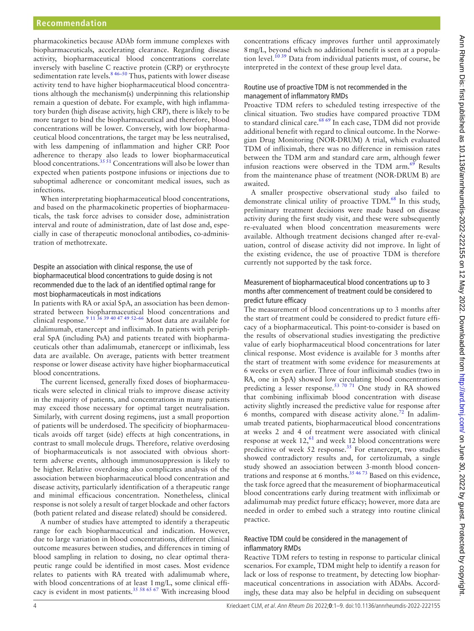pharmacokinetics because ADAb form immune complexes with biopharmaceuticals, accelerating clearance. Regarding disease activity, biopharmaceutical blood concentrations correlate inversely with baseline C reactive protein (CRP) or erythrocyte sedimentation rate levels. $8^{846-50}$  Thus, patients with lower disease activity tend to have higher biopharmaceutical blood concentrations although the mechanism(s) underpinning this relationship remain a question of debate. For example, with high inflammatory burden (high disease activity, high CRP), there is likely to be more target to bind the biopharmaceutical and therefore, blood concentrations will be lower. Conversely, with low biopharmaceutical blood concentrations, the target may be less neutralised, with less dampening of inflammation and higher CRP. Poor adherence to therapy also leads to lower biopharmaceutical blood concentrations.<sup>[35 51](#page-7-16)</sup> Concentrations will also be lower than expected when patients postpone infusions or injections due to suboptimal adherence or concomitant medical issues, such as infections.

When interpretating biopharmaceutical blood concentrations, and based on the pharmacokinetic properties of biopharmaceuticals, the task force advises to consider dose, administration interval and route of administration, date of last dose and, especially in case of therapeutic monoclonal antibodies, co-administration of methotrexate.

## Despite an association with clinical response, the use of biopharmaceutical blood concentrations to guide dosing is not recommended due to the lack of an identified optimal range for most biopharmaceuticals in most indications

In patients with RA or axial SpA, an association has been demonstrated between biopharmaceutical blood concentrations and clinical response.<sup>9</sup> <sup>11 36</sup> <sup>39</sup> <sup>40</sup> <sup>47</sup> <sup>49</sup> <sup>52-66</sup> Most data are available for adalimumab, etanercept and infliximab. In patients with peripheral SpA (including PsA) and patients treated with biopharmaceuticals other than adalimumab, etanercept or infliximab, less data are available. On average, patients with better treatment response or lower disease activity have higher biopharmaceutical blood concentrations.

The current licensed, generally fixed doses of biopharmaceuticals were selected in clinical trials to improve disease activity in the majority of patients, and concentrations in many patients may exceed those necessary for optimal target neutralisation. Similarly, with current dosing regimens, just a small proportion of patients will be underdosed. The specificity of biopharmaceuticals avoids off target (side) effects at high concentrations, in contrast to small molecule drugs. Therefore, relative overdosing of biopharmaceuticals is not associated with obvious shortterm adverse events, although immunosuppression is likely to be higher. Relative overdosing also complicates analysis of the association between biopharmaceutical blood concentration and disease activity, particularly identification of a therapeutic range and minimal efficacious concentration. Nonetheless, clinical response is not solely a result of target blockade and other factors (both patient related and disease related) should be considered.

A number of studies have attempted to identify a therapeutic range for each biopharmaceutical and indication. However, due to large variation in blood concentrations, different clinical outcome measures between studies, and differences in timing of blood sampling in relation to dosing, no clear optimal therapeutic range could be identified in most cases. Most evidence relates to patients with RA treated with adalimumab where, with blood concentrations of at least 1mg/L, some clinical efficacy is evident in most patients.<sup>35 58 65 67</sup> With increasing blood

concentrations efficacy improves further until approximately 8mg/L, beyond which no additional benefit is seen at a population level.<sup>10 39</sup> Data from individual patients must, of course, be interpreted in the context of these group level data.

#### Routine use of proactive TDM is not recommended in the management of inflammatory RMDs

Proactive TDM refers to scheduled testing irrespective of the clinical situation. Two studies have compared proactive TDM to standard clinical care.<sup>68 69</sup> In each case, TDM did not provide additional benefit with regard to clinical outcome. In the Norwegian Drug Monitoring (NOR-DRUM) A trial, which evaluated TDM of infliximab, there was no difference in remission rates between the TDM arm and standard care arm, although fewer infusion reactions were observed in the TDM arm.<sup>69</sup> Results from the maintenance phase of treatment (NOR-DRUM B) are awaited.

A smaller prospective observational study also failed to demonstrate clinical utility of proactive TDM.<sup>68</sup> In this study, preliminary treatment decisions were made based on disease activity during the first study visit, and these were subsequently re-evaluated when blood concentration measurements were available. Although treatment decisions changed after re-evaluation, control of disease activity did not improve. In light of the existing evidence, the use of proactive TDM is therefore currently not supported by the task force.

#### Measurement of biopharmaceutical blood concentrations up to 3 months after commencement of treatment could be considered to predict future efficacy

The measurement of blood concentrations up to 3 months after the start of treatment could be considered to predict future efficacy of a biopharmaceutical. This point-to-consider is based on the results of observational studies investigating the predictive value of early biopharmaceutical blood concentrations for later clinical response. Most evidence is available for 3 months after the start of treatment with some evidence for measurements at 6 weeks or even earlier. Three of four infliximab studies (two in RA, one in SpA) showed low circulating blood concentrations predicting a lesser response.<sup>53 70 71</sup> One study in RA showed that combining infliximab blood concentration with disease activity slightly increased the predictive value for response after 6 months, compared with disease activity alone.<sup>[72](#page-8-3)</sup> In adalimumab treated patients, biopharmaceutical blood concentrations at weeks 2 and 4 of treatment were associated with clinical response at week  $12<sup>{61}</sup>$  and week 12 blood concentrations were predicitive of week  $52$  response.<sup>[35](#page-7-16)</sup> For etanercept, two studies showed contradictory results and, for certolizumab, a single study showed an association between 3-month blood concentrations and response at 6 months.<sup>35 46 73</sup> Based on this evidence, the task force agreed that the measurement of biopharmaceutical blood concentrations early during treatment with infliximab or adalimumab may predict future efficacy; however, more data are needed in order to embed such a strategy into routine clinical practice.

#### Reactive TDM could be considered in the management of inflammatory RMDs

Reactive TDM refers to testing in response to particular clinical scenarios. For example, TDM might help to identify a reason for lack or loss of response to treatment, by detecting low biopharmaceutical concentrations in association with ADAbs. Accordingly, these data may also be helpful in deciding on subsequent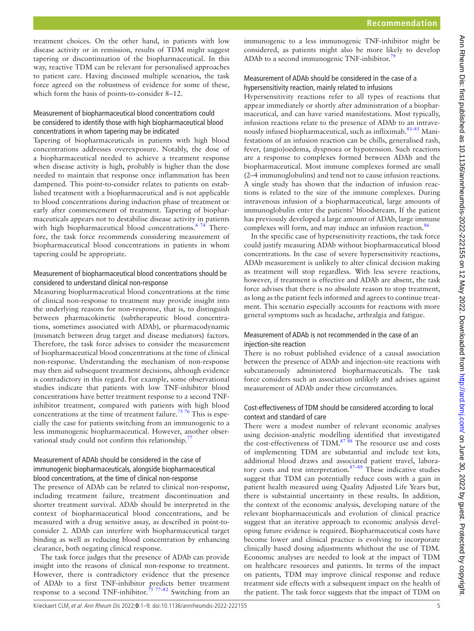treatment choices. On the other hand, in patients with low disease activity or in remission, results of TDM might suggest tapering or discontinuation of the biopharmaceutical. In this way, reactive TDM can be relevant for personalised approaches to patient care. Having discussed multiple scenarios, the task force agreed on the robustness of evidence for some of these, which form the basis of points-to-consider 8–12.

## Measurement of biopharmaceutical blood concentrations could be considered to identify those with high biopharmaceutical blood concentrations in whom tapering may be indicated

Tapering of biopharmaceuticals in patients with high blood concentrations addresses overexposure. Notably, the dose of a biopharmaceutical needed to achieve a treatment response when disease activity is high, probably is higher than the dose needed to maintain that response once inflammation has been dampened. This point-to-consider relates to patients on established treatment with a biopharmaceutical and is not applicable to blood concentrations during induction phase of treatment or early after commencement of treatment. Tapering of biopharmaceuticals appears not to destabilise disease activity in patients with high biopharmaceutical blood concentrations.<sup>[6 74](#page-7-19)</sup> Therefore, the task force recommends considering measurement of biopharmaceutical blood concentrations in patients in whom tapering could be appropriate.

## Measurement of biopharmaceutical blood concentrations should be considered to understand clinical non-response

Measuring biopharmaceutical blood concentrations at the time of clinical non-response to treatment may provide insight into the underlying reasons for non-response, that is, to distinguish between pharmacokinetic (subtherapeutic blood concentrations, sometimes associated with ADAb), or pharmacodynamic (mismatch between drug target and disease mediators) factors. Therefore, the task force advises to consider the measurement of biopharmaceutical blood concentrations at the time of clinical non-response. Understanding the mechanism of non-response may then aid subsequent treatment decisions, although evidence is contradictory in this regard. For example, some observational studies indicate that patients with low TNF-inhibitor blood concentrations have better treatment response to a second TNFinhibitor treatment, compared with patients with high blood concentrations at the time of treatment failure.<sup>75 76</sup> This is especially the case for patients switching from an immunogenic to a less immunogenic biopharmaceutical. However, another obser-vational study could not confirm this relationship.<sup>[77](#page-8-6)</sup>

## Measurement of ADAb should be considered in the case of immunogenic biopharmaceuticals, alongside biopharmaceutical blood concentrations, at the time of clinical non-response

The presence of ADAb can be related to clinical non-response, including treatment failure, treatment discontinuation and shorter treatment survival. ADAb should be interpreted in the context of biopharmaceutical blood concentrations, and be measured with a drug sensitive assay, as described in point-toconsider 2. ADAb can interfere with biopharmaceutical target binding as well as reducing blood concentration by enhancing clearance, both negating clinical response.

The task force judges that the presence of ADAb can provide insight into the reasons of clinical non-response to treatment. However, there is contradictory evidence that the presence of ADAb to a first TNF-inhibitor predicts better treatment response to a second TNF-inhibitor.<sup>75 77-82</sup> Switching from an

immunogenic to a less immunogenic TNF-inhibitor might be considered, as patients might also be more likely to develop ADAb to a second immunogenic TNF-inhibitor.<sup>[79](#page-8-7)</sup>

# Measurement of ADAb should be considered in the case of a hypersensitivity reaction, mainly related to infusions

Hypersensitivity reactions refer to all types of reactions that appear immediately or shortly after administration of a biopharmaceutical, and can have varied manifestations. Most typically, infusion reactions relate to the presence of ADAb to an intravenously infused biopharmaceutical, such as infliximab[.83–85](#page-8-8) Manifestations of an infusion reaction can be chills, generalised rash, fever, (angio)oedema, dyspnoea or hypotension. Such reactions are a response to complexes formed between ADAb and the biopharmaceutical. Most immune complexes formed are small (2–4 immunoglobulins) and tend not to cause infusion reactions. A single study has shown that the induction of infusion reactions is related to the size of the immune complexes. During intravenous infusion of a biopharmaceutical, large amounts of immunoglobulin enter the patients' bloodstream. If the patient has previously developed a large amount of ADAb, large immune complexes will form, and may induce an infusion reaction.<sup>86</sup>

In the specific case of hypersensitivity reactions, the task force could justify measuring ADAb without biopharmaceutical blood concentrations. In the case of severe hypersensitivity reactions, ADAb measurement is unlikely to alter clinical decision making as treatment will stop regardless. With less severe reactions, however, if treatment is effective and ADAb are absent, the task force advises that there is no absolute reason to stop treatment, as long as the patient feels informed and agrees to continue treatment. This scenario especially accounts for reactions with more general symptoms such as headache, arthralgia and fatigue.

# Measurement of ADAb is not recommended in the case of an injection-site reaction

There is no robust published evidence of a causal association between the presence of ADAb and injection-site reactions with subcutaneously administered biopharmaceuticals. The task force considers such an association unlikely and advises against measurement of ADAb under these circumstances.

# Cost-effectiveness of TDM should be considered according to local context and standard of care

There were a modest number of relevant economic analyses using decision-analytic modelling identified that investigated the cost-effectiveness of  $TDM.<sup>87 88</sup>$  $TDM.<sup>87 88</sup>$  $TDM.<sup>87 88</sup>$  The resource use and costs of implementing TDM are substantial and include test kits, additional blood draws and associated patient travel, laboratory costs and test interpretation.<sup>87-89</sup> These indicative studies suggest that TDM can potentially reduce costs with a gain in patient health measured using Quality Adjusted Life Years but, there is substaintial uncertainty in these results. In addition, the context of the economic analysis, developing nature of the relevant biopharmaceuticals and evolution of clinical practice suggest that an iterative approach to economic analysis developing future evidence is required. Biopharmaceutical costs have become lower and clinical practice is evolving to incorporate clinically based dosing adjustments whithout the use of TDM. Economic analyses are needed to look at the impact of TDM on healthcare resources and patients. In terms of the impact on patients, TDM may improve clinical response and reduce treatment side effects with a subsequent impact on the health of the patient. The task force suggests that the impact of TDM on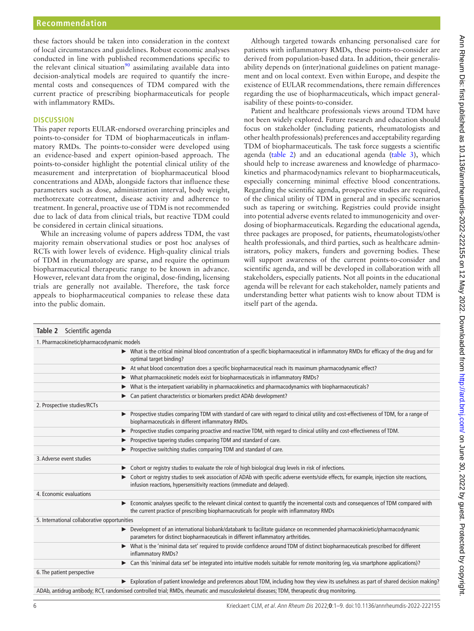these factors should be taken into consideration in the context of local circumstances and guidelines. Robust economic analyses conducted in line with published recommendations specific to the relevant clinical situation<sup>[90](#page-8-11)</sup> assimilating available data into decision-analytical models are required to quantify the incremental costs and consequences of TDM compared with the current practice of prescribing biopharmaceuticals for people with inflammatory RMDs.

#### **DISCUSSION**

This paper reports EULAR-endorsed overarching principles and points-to-consider for TDM of biopharmaceuticals in inflammatory RMDs. The points-to-consider were developed using an evidence-based and expert opinion-based approach. The points-to-consider highlight the potential clinical utility of the measurement and interpretation of biopharmaceutical blood concentrations and ADAb, alongside factors that influence these parameters such as dose, administration interval, body weight, methotrexate cotreatment, disease activity and adherence to treatment. In general, proactive use of TDM is not recommended due to lack of data from clinical trials, but reactive TDM could be considered in certain clinical situations.

While an increasing volume of papers address TDM, the vast majority remain observational studies or post hoc analyses of RCTs with lower levels of evidence. High-quality clinical trials of TDM in rheumatology are sparse, and require the optimum biopharmaceutical therapeutic range to be known in advance. However, relevant data from the original, dose-finding, licensing trials are generally not available. Therefore, the task force appeals to biopharmaceutical companies to release these data into the public domain.

Although targeted towards enhancing personalised care for patients with inflammatory RMDs, these points-to-consider are derived from population-based data. In addition, their generalisability depends on (inter)national guidelines on patient management and on local context. Even within Europe, and despite the existence of EULAR recommendations, there remain differences regarding the use of biopharmaceuticals, which impact generalisability of these points-to-consider.

Patient and healthcare professionals views around TDM have not been widely explored. Future research and education should focus on stakeholder (including patients, rheumatologists and other health professionals) preferences and acceptability regarding TDM of biopharmaceuticals. The task force suggests a scientific agenda [\(table](#page-5-0) 2) and an educational agenda [\(table](#page-6-0) 3), which should help to increase awareness and knowledge of pharmacokinetics and pharmacodynamics relevant to biopharmaceuticals, especially concerning minimal effective blood concentrations. Regarding the scientific agenda, prospective studies are required, of the clinical utility of TDM in general and in specific scenarios such as tapering or switching. Registries could provide insight into potential adverse events related to immunogenicity and overdosing of biopharmaceuticals. Regarding the educational agenda, three packages are proposed, for patients, rheumatologists/other health professionals, and third parties, such as healthcare administrators, policy makers, funders and governing bodies. These will support awareness of the current points-to-consider and scientific agenda, and will be developed in collaboration with all stakeholders, especially patients. Not all points in the educational agenda will be relevant for each stakeholder, namely patients and understanding better what patients wish to know about TDM is itself part of the agenda.

<span id="page-5-0"></span>

| Table 2 Scientific agenda                    |                                                                                                                                                                                                                                 |
|----------------------------------------------|---------------------------------------------------------------------------------------------------------------------------------------------------------------------------------------------------------------------------------|
| 1. Pharmacokinetic/pharmacodynamic models    |                                                                                                                                                                                                                                 |
|                                              | > What is the critical minimal blood concentration of a specific biopharmaceutical in inflammatory RMDs for efficacy of the drug and for<br>optimal target binding?                                                             |
|                                              | At what blood concentration does a specific biopharmaceutical reach its maximum pharmacodynamic effect?<br>$\blacktriangleright$                                                                                                |
|                                              | What pharmacokinetic models exist for biopharmaceuticals in inflammatory RMDs?<br>▶                                                                                                                                             |
|                                              | What is the interpatient variability in pharmacokinetics and pharmacodynamics with biopharmaceuticals?                                                                                                                          |
|                                              | Can patient characteristics or biomarkers predict ADAb development?                                                                                                                                                             |
| 2. Prospective studies/RCTs                  |                                                                                                                                                                                                                                 |
|                                              | Prospective studies comparing TDM with standard of care with regard to clinical utility and cost-effectiveness of TDM, for a range of<br>▶<br>biopharmaceuticals in different inflammatory RMDs.                                |
|                                              | Prospective studies comparing proactive and reactive TDM, with regard to clinical utility and cost-effectiveness of TDM.<br>▶                                                                                                   |
|                                              | Prospective tapering studies comparing TDM and standard of care.                                                                                                                                                                |
|                                              | Prospective switching studies comparing TDM and standard of care.                                                                                                                                                               |
| 3. Adverse event studies                     |                                                                                                                                                                                                                                 |
|                                              | Cohort or registry studies to evaluate the role of high biological drug levels in risk of infections.                                                                                                                           |
|                                              | Cohort or registry studies to seek association of ADAb with specific adverse events/side effects, for example, injection site reactions,<br>infusion reactions, hypersensitivity reactions (immediate and delayed).             |
| 4. Economic evaluations                      |                                                                                                                                                                                                                                 |
|                                              | Economic analyses specific to the relevant clinical context to quantify the incremental costs and consequences of TDM compared with<br>the current practice of prescribing biopharmaceuticals for people with inflammatory RMDs |
| 5. International collaborative opportunities |                                                                                                                                                                                                                                 |
|                                              | > Development of an international biobank/databank to facilitate quidance on recommended pharmacokinietic/pharmacodynamic<br>parameters for distinct biopharmaceuticals in different inflammatory arthritides.                  |
|                                              | What is the 'minimal data set' required to provide confidence around TDM of distinct biopharmaceuticals prescribed for different<br>▶<br>inflammatory RMDs?                                                                     |
|                                              | ► Can this 'minimal data set' be integrated into intuitive models suitable for remote monitoring (eg, via smartphone applications)?                                                                                             |
| 6. The patient perspective                   |                                                                                                                                                                                                                                 |
|                                              | Exploration of patient knowledge and preferences about TDM, including how they view its usefulness as part of shared decision making?                                                                                           |
|                                              | ADAb, antidrug antibody; RCT, randomised controlled trial; RMDs, rheumatic and musculoskeletal diseases; TDM, therapeutic drug monitoring.                                                                                      |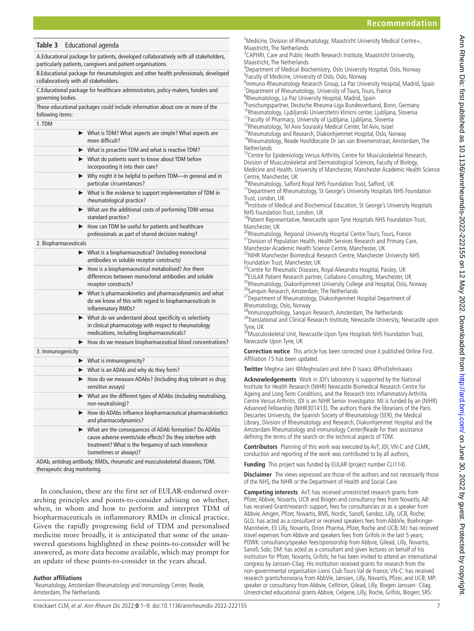## **Recommendation**

#### <span id="page-6-0"></span>**Table 3** Educational agenda

A.Educational package for patients, developed collaboratively with all stakeholders, particularly patients, caregivers and patient organisations.

B.Educational package for rheumatologists and other health professionals, developed collaboratively with all stakeholders.

C.Educational package for healthcare administrators, policy-makers, funders and governing bodies.

These educational packages could include information about one or more of the following items:

| 1. TDM                |                                                                                                                                                                                                        |
|-----------------------|--------------------------------------------------------------------------------------------------------------------------------------------------------------------------------------------------------|
|                       | > What is TDM? What aspects are simple? What aspects are<br>more difficult?                                                                                                                            |
|                       | > What is proactive TDM and what is reactive TDM?                                                                                                                                                      |
|                       | > What do patients want to know about TDM before<br>incorporating it into their care?                                                                                                                  |
|                       | > Why might it be helpful to perform TDM-in general and in<br>particular circumstances?                                                                                                                |
|                       | > What is the evidence to support implementation of TDM in<br>rheumatological practice?                                                                                                                |
|                       | > What are the additional costs of performing TDM versus<br>standard practice?                                                                                                                         |
|                       | How can TDM be useful for patients and healthcare<br>professionals as part of shared decision making?                                                                                                  |
| 2. Biopharmaceuticals |                                                                                                                                                                                                        |
|                       | > What is a biopharmaceutical? (including monoclonal<br>antibodies vs soluble receptor constructs)                                                                                                     |
|                       | How is a biopharmaceutical metabolised? Are there<br>differences between monoclonal antibodies and soluble<br>receptor constructs?                                                                     |
|                       | > What is pharmacokinetics and pharmacodynamics and what<br>do we know of this with regard to biopharmaceuticals in<br>inflammatory RMDs?                                                              |
|                       | $\blacktriangleright$ What do we understand about specificity vs selectivity<br>in clinical pharmacology with respect to rheumatology<br>medications, including biopharmaceuticals?                    |
|                       | > How do we measure biopharmaceutical blood concentrations?                                                                                                                                            |
| 3. Immunogenicity     |                                                                                                                                                                                                        |
|                       | $\blacktriangleright$ What is immunogenicity?                                                                                                                                                          |
|                       | $\triangleright$ What is an ADAb and why do they form?                                                                                                                                                 |
|                       | > How do we measure ADAbs? (including drug tolerant vs drug<br>sensitive assays)                                                                                                                       |
|                       | > What are the different types of ADAbs (including neutralising,<br>non-neutralising)?                                                                                                                 |
|                       | > How do ADAbs influence biopharmaceutical pharmacokinetics<br>and pharmacodynamics?                                                                                                                   |
|                       | > What are the consequences of ADAb formation? Do ADAbs<br>cause adverse events/side effects? Do they interfere with<br>treatment? What is the frequency of such interefence<br>(sometimes or always)? |
|                       | ADAb, antidrug antibody; RMDs, rheumatic and musculoskeletal diseases; TDM,                                                                                                                            |

therapeutic drug monitoring.

In conclusion, these are the first set of EULAR-endorsed overarching principles and points-to-consider advising on whether, when, in whom and how to perform and interpret TDM of biopharmaceuticals in inflammatory RMDs in clinical practice. Given the rapidly progressing field of TDM and personalised medicine more broadly, it is anticipated that some of the unanswered questions highlighted in these points-to-consider will be answered, as more data become available, which may prompt for an update of these points-to-consider in the years ahead.

#### **Author affiliations**

<sup>1</sup> Reumatology, Amsterdam Rheumatology and Immunology Center, Reade, Amsterdam, The Netherlands

<sup>2</sup> Medicine, Division of Rheumatology, Maastricht University Medical Centre+, Maastricht, The Netherlands

<sup>3</sup>CAPHRI, Care and Public Health Research Institute, Maastricht University, Maastricht, The Netherlands

4 Department of Medical Biochemistry, Oslo University Hospital, Oslo, Norway <sup>5</sup> Faculty of Medicine, University of Oslo, Oslo, Norway

<sup>6</sup>Immuno-Rheumatology Research Group, La Paz University Hospital, Madrid, Spain<br><sup>7</sup>Denartment of Rheumatology, University of Tours, Tours, Erance  $7$ Department of Rheumatology, University of Tours, Tours, France <sup>8</sup>Rheumatology, La Paz University Hospital, Madrid, Spain

<sup>9</sup>Forschungspärtner, Deutsche Rheuma-Liga Bundesverband, Bonn, Germany <sup>10</sup>Rheumatology, Ljubljanski Univerzitetni klinicni center, Ljubljana, Slovenia

- <sup>11</sup> Faculty of Pharmacy, University of Ljubljana, Ljubljana, Slovenia
- <sup>12</sup>Rheumatology, Tel Aviv Sourasky Medical Center, Tel Aviv, Israel

13Rheumatology and Research, Diakonhjemmet Hospital, Oslo, Norway <sup>14</sup>Rheumatology, Reade Hoofdlocatie Dr Jan van Breemenstraat, Amsterdam, The **Netherlands** 

<sup>15</sup>Centre for Epidemiology Versus Arthritis, Centre for Musculoskeletal Research, Division of Musculoskeletal and Dermatological Sciences, Faculty of Biology, Medicine and Health, University of Manchester, Manchester Academic Health Science Centre, Manchester, UK

<sup>16</sup>Rheumatology, Salford Royal NHS Foundation Trust, Salford, UK

<sup>17</sup>Department of Rheumatology, St George's University Hospitals NHS Foundation Trust, London, UK

<sup>18</sup>Institute of Medical and Biochemical Education, St George's University Hospitals NHS Foundation Trust, London, UK

<sup>19</sup>Patient Representative, Newcastle upon Tyne Hospitals NHS Foundation Trust, Manchester, UK

<sup>20</sup>Rheumatology, Regional University Hospital Centre Tours, Tours, France <sup>21</sup> Division of Population Health, Health Services Research and Primary Care, Manchester Academic Health Science Centre, Manchester, UK

<sup>22</sup>NIHR Manchester Biomedical Research Centre, Manchester University NHS Foundation Trust, Manchester, UK

<sup>23</sup> Centre for Rheumatic Diseases, Royal Alexandra Hospital, Paisley, UK <sup>24</sup>EULAR Patient Research partner, Collaboro Consulting, Manchester, UK <sup>25</sup>Rheumatology, Diakonhjemmet University College and Hospital, Oslo, Norway <sup>26</sup>Sanquin Research, Amsterdam, The Netherlands

<sup>27</sup>Department of Rheumatology, Diakonhjemmet Hospital Department of Rheumatology, Oslo, Norway

<sup>28</sup>Immunopathology, Sanquin Research, Amsterdam, The Netherlands <sup>29</sup>Translational and Clinical Research Institute, Newcastle University, Newcastle upon Tyne, UK

30 Musculoskeletal Unit, Newcastle Upon Tyne Hospitals NHS Foundation Trust, Newcastle Upon Tyne, UK

**Correction notice** This article has been corrected since it published Online First. Affiliation 15 has been updated.

**Twitter** Meghna Jani [@MeghnaJani](https://twitter.com/MeghnaJani) and John D Isaacs [@ProfJohnIsaacs](https://twitter.com/ProfJohnIsaacs)

**Acknowledgements** Work in JDI's laboratory is supported by the National Institute for Health Research (NIHR) Newcastle Biomedical Research Centre for Ageing and Long Term Conditions, and the Research Into Inflammatory Arthritis Centre Versus Arthritis. JDI is an NIHR Senior Investigator. MJ is funded by an (NIHR) Advanced Fellowship (NIHR301413). The authors thank the librarians of the Paris Descartes University, the Spanish Society of Rheumatology (SER), the Medical Library, Division of Rheumatology and Research, Diakonhjemmet Hospital and the Amsterdam Rheumatology and immunology Center|Reade for their assistance defining the terms of the search on the technical aspects of TDM.

**Contributors** Planning of this work was executed by AvT, JDI, VN-C and CLMK, conduction and reporting of the work was contributed to by all authors,

Funding This project was funded by EULAR (project number CLI114).

**Disclaimer** The views expressed are those of the authors and not necessarily those of the NHS, the NIHR or the Department of Health and Social Care.

**Competing interests** AvT: has received unrestricted research grants from Pfizer, Abbvie, Novartis, UCB and Biogen and consultancy fees from Novartis; AB: has received Grant/research support, fees for consultancies or as a speaker from Abbvie, Amgen, Pfizer, Novartis, BMS, Nordic, Sanofi, Sandoz, Lilly, UCB, Roche; GLG: has acted as a consultant or received speakers fees from AbbVie, Boehringer-Mannheim, Eli Lilly, Novartis, Orion Pharma, Pfizer, Roche and UCB; MJ: has received travel expenses from Abbvie and speakers fees from Grifols in the last 5 years; PDWK: consultancy/speaker fees/sponsorship from Abbvie, Gilead, Lilly, Novartis, Sanofi, Sobi; DM: has acted as a consultant and given lectures on behalf of his institution for Pfizer, Novartis, Grifols; he has been invited to attend an international congress by Janssen-Cilag. His institution received grants for research from the non-governmental organisation Lions Club Tours Val de France; VN-C: has received research grants/honoraria from AbbVie, Janssen, Lilly, Novartis, Pfizer, and UCB; MP: speaker or consultancy from Abbvie, Celltrion, Gilead, Lilly, Biogen Janssen- Cilag. Unrestricted educational grants Abbvie, Celgene, Lilly, Roche, Grifols, Biogen; SRS: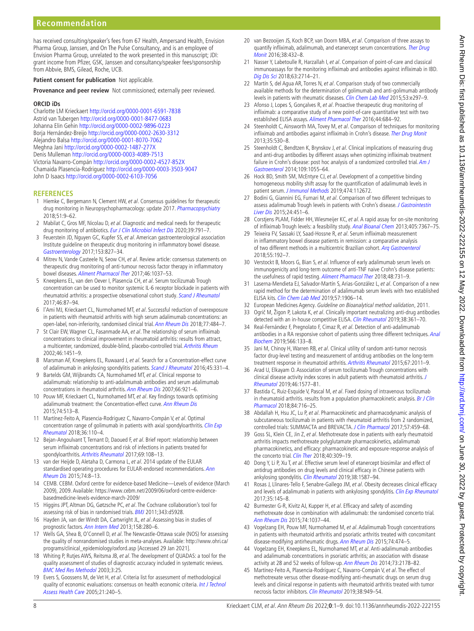# **Recommendation**

has received consulting/speaker's fees from 67 Health, Ampersand Health, Envision Pharma Group, Janssen, and On The Pulse Consultancy, and is an employee of Envision Pharma Group, unrelated to the work presented in this manuscript; JDI: grant income from Pfizer, GSK, Janssen and consultancy/speaker fees/sponsorship from Abbvie, BMS, Gilead, Roche, UCB.

**Patient consent for publication** Not applicable.

**Provenance and peer review** Not commissioned; externally peer reviewed.

#### **ORCID iDs**

Charlotte LM Krieckaert <http://orcid.org/0000-0001-6591-7838> Astrid van Tubergen<http://orcid.org/0000-0001-8477-0683> Johanna Elin Gehin <http://orcid.org/0000-0002-9896-0223> Borja Hernández-Breijo<http://orcid.org/0000-0002-2630-3312> Alejandro Balsa<http://orcid.org/0000-0001-8070-7062> Meghna Jani<http://orcid.org/0000-0002-1487-277X> Denis Mulleman <http://orcid.org/0000-0003-4089-7513> Victoria Navarro-Compán <http://orcid.org/0000-0002-4527-852X> Chamaida Plasencia-Rodriguez <http://orcid.org/0000-0003-3503-9047> John D Isaacs<http://orcid.org/0000-0002-6103-7056>

#### **REFERENCES**

- <span id="page-7-0"></span>1 Hiemke C, Bergemann N, Clement HW, et al. Consensus guidelines for therapeutic drug monitoring in Neuropsychopharmacology: update 2017. [Pharmacopsychiatry](http://dx.doi.org/10.1055/s-0043-116492) 2018;51:9–62.
- 2 Mabilat C, Gros MF, Nicolau D, et al. Diagnostic and medical needs for therapeutic drug monitoring of antibiotics. [Eur J Clin Microbiol Infect Dis](http://dx.doi.org/10.1007/s10096-019-03769-8) 2020;39:791-7.
- <span id="page-7-1"></span>3 Feuerstein JD, Nguyen GC, Kupfer SS, et al. American gastroenterological association Institute guideline on therapeutic drug monitoring in inflammatory bowel disease. [Gastroenterology](http://dx.doi.org/10.1053/j.gastro.2017.07.032) 2017;153:827–34.
- 4 Mitrev N, Vande Casteele N, Seow CH, et al. Review article: consensus statements on therapeutic drug monitoring of anti-tumour necrosis factor therapy in inflammatory bowel diseases. [Aliment Pharmacol Ther](http://dx.doi.org/10.1111/apt.14368) 2017;46:1037–53.
- <span id="page-7-2"></span>5 Kneepkens EL, van den Oever I, Plasencia CH, et al. Serum tocilizumab Trough concentration can be used to monitor systemic IL-6 receptor blockade in patients with rheumatoid arthritis: a prospective observational cohort study. [Scand J Rheumatol](http://dx.doi.org/10.1080/03009742.2016.1183039) 2017;46:87–94.
- <span id="page-7-19"></span>6 l'Ami MJ, Krieckaert CL, Nurmohamed MT, et al. Successful reduction of overexposure in patients with rheumatoid arthritis with high serum adalimumab concentrations: an open-label, non-inferiority, randomised clinical trial. [Ann Rheum Dis](http://dx.doi.org/10.1136/annrheumdis-2017-211781) 2018;77:484–7.
- 7 St Clair EW, Wagner CL, Fasanmade AA, et al. The relationship of serum infliximab concentrations to clinical improvement in rheumatoid arthritis: results from attract, a multicenter, randomized, double-blind, placebo-controlled trial. [Arthritis Rheum](http://dx.doi.org/10.1002/art.10302) 2002;46:1451–9.
- <span id="page-7-3"></span>8 Marsman AF, Kneepkens EL, Ruwaard J, et al. Search for a Concentration-effect curve of adalimumab in ankylosing spondylitis patients. [Scand J Rheumatol](http://dx.doi.org/10.3109/03009742.2015.1114666) 2016;45:331-4.
- <span id="page-7-18"></span>9 Bartelds GM, Wijbrandts CA, Nurmohamed MT, et al. Clinical response to adalimumab: relationship to anti-adalimumab antibodies and serum adalimumab concentrations in rheumatoid arthritis. [Ann Rheum Dis](http://dx.doi.org/10.1136/ard.2006.065615) 2007;66:921–6.
- <span id="page-7-17"></span>10 Pouw MF, Krieckaert CL, Nurmohamed MT, et al. Key findings towards optimising adalimumab treatment: the Concentration-effect curve. [Ann Rheum Dis](http://dx.doi.org/10.1136/annrheumdis-2013-204172) 2015;74:513–8.
- 11 Martínez-Feito A, Plasencia-Rodriguez C, Navarro-Compán V, et al. Optimal concentration range of golimumab in patients with axial spondyloarthritis. Clin Exp [Rheumatol](http://www.ncbi.nlm.nih.gov/pubmed/28980904) 2018;36:110–4.
- <span id="page-7-4"></span>12 Bejan-Angoulvant T, Ternant D, Daoued F, et al. Brief report: relationship between serum infliximab concentrations and risk of infections in patients treated for spondyloarthritis. [Arthritis Rheumatol](http://dx.doi.org/10.1002/art.39841) 2017;69:108–13.
- <span id="page-7-5"></span>13 van der Heijde D, Aletaha D, Carmona L, et al. 2014 update of the EULAR standardised operating procedures for EULAR-endorsed recommendations. Ann [Rheum Dis](http://dx.doi.org/10.1136/annrheumdis-2014-206350) 2015;74:8–13.
- <span id="page-7-6"></span>14 CEMB. CEBM. Oxford centre for evidence-based Medicine—Levels of evidence (March 2009), 2009. Available: [https://www.cebm.net/2009/06/oxford-centre-evidence](https://www.cebm.net/2009/06/oxford-centre-evidence-basedmedicine-levels-evidence-march-2009/)[basedmedicine-levels-evidence-march-2009/](https://www.cebm.net/2009/06/oxford-centre-evidence-basedmedicine-levels-evidence-march-2009/)
- <span id="page-7-7"></span>15 Higgins JPT, Altman DG, Gøtzsche PC, et al. The Cochrane collaboration's tool for assessing risk of bias in randomised trials. [BMJ](http://dx.doi.org/10.1136/bmj.d5928) 2011;343:d5928.
- <span id="page-7-8"></span>16 Hayden JA, van der Windt DA, Cartwright JL, et al. Assessing bias in studies of prognostic factors. [Ann Intern Med](http://dx.doi.org/10.7326/0003-4819-158-4-201302190-00009) 2013;158:280-6.
- <span id="page-7-9"></span>Wells GA, Shea B, O'Connell D, et al. The Newcastle-Ottawa scale (NOS) for assessing the quality of nonrandomised studies in meta-analyses. Available: [http://www.ohri.ca/](http://www.ohri.ca/programs/clinical_epidemiology/oxford.asp) [programs/clinical\\_epidemiology/oxford.asp](http://www.ohri.ca/programs/clinical_epidemiology/oxford.asp) [Accessed 29 Jan 2021].
- <span id="page-7-10"></span>18 Whiting P, Rutjes AWS, Reitsma JB, et al. The development of QUADAS: a tool for the quality assessment of studies of diagnostic accuracy included in systematic reviews. [BMC Med Res Methodol](http://dx.doi.org/10.1186/1471-2288-3-25) 2003;3:25.
- <span id="page-7-11"></span>19 Evers S, Goossens M, de Vet H, et al. Criteria list for assessment of methodological quality of economic evaluations: consensus on health economic criteria. Int J Technol [Assess Health Care](http://www.ncbi.nlm.nih.gov/pubmed/15921065) 2005;21:240–5.
- <span id="page-7-12"></span>20 van Bezooijen JS, Koch BCP, van Doorn MBA, et al. Comparison of three assays to quantify infliximab, adalimumab, and etanercept serum concentrations. Ther Drug [Monit](http://dx.doi.org/10.1097/FTD.0000000000000310) 2016:38:432-8.
- <span id="page-7-13"></span>21 Nasser Y, Labetoulle R, Harzallah I, et al. Comparison of point-of-care and classical immunoassays for the monitoring infliximab and antibodies against infliximab in IBD. [Dig Dis Sci](http://dx.doi.org/10.1007/s10620-018-5144-y) 2018;63:2714–21.
- 22 Martín S, del Agua AR, Torres N, et al. Comparison study of two commercially available methods for the determination of golimumab and anti-golimumab antibody levels in patients with rheumatic diseases. [Clin Chem Lab Med](http://dx.doi.org/10.1515/cclm-2015-0266) 2015;53:e297-9.
- 23 Afonso J, Lopes S, Gonçalves R, et al. Proactive therapeutic drug monitoring of infliximab: a comparative study of a new point-of-care quantitative test with two established ELISA assays. [Aliment Pharmacol Ther](http://dx.doi.org/10.1111/apt.13757) 2016;44:684–92.
- <span id="page-7-15"></span>24 Steenholdt C, Ainsworth MA, Tovey M, et al. Comparison of techniques for monitoring infliximab and antibodies against infliximab in Crohn's disease. [Ther Drug Monit](http://dx.doi.org/10.1097/FTD.0b013e31828d23c3) 2013;35:530–8.
- 25 Steenholdt C, Bendtzen K, Brynskov J, et al. Clinical implications of measuring drug and anti-drug antibodies by different assays when optimizing infliximab treatment failure in Crohn's disease: post hoc analysis of a randomized controlled trial. Am J [Gastroenterol](http://dx.doi.org/10.1038/ajg.2014.106) 2014;109:1055–64.
- 26 Hock BD, Smith SM, McEntyre CJ, et al. Development of a competitive binding homogeneous mobility shift assay for the quantification of adalimumab levels in patient serum. [J Immunol Methods](http://dx.doi.org/10.1016/j.jim.2019.112672) 2019;474:112672.
- 27 Bodini G, Giannini EG, Furnari M, et al. Comparison of two different techniques to assess adalimumab Trough levels in patients with Crohn's disease. J Gastrointestin [Liver Dis](http://dx.doi.org/10.15403/jgld.2014.1121.244.adb) 2015;24:451–6.
- 28 Corstjens PLAM, Fidder HH, Wiesmeijer KC, et al. A rapid assay for on-site monitoring of infliximab Trough levels: a feasibility study. [Anal Bioanal Chem](http://dx.doi.org/10.1007/s00216-013-7154-0) 2013;405:7367-75.
- 29 Teixeira FV, Sassaki LY, Saad-Hossne R, et al. Serum infliximab measurement in inflammatory bowel disease patients in remission: a comparative analysis of two different methods in a multicentric Brazilian cohort. Arg Gastroenterol 2018;55:192–7.
- 30 Verstockt B, Moors G, Bian S, et al. Influence of early adalimumab serum levels on immunogenicity and long-term outcome of anti-TNF naive Crohn's disease patients: the usefulness of rapid testing. [Aliment Pharmacol Ther](http://dx.doi.org/10.1111/apt.14943) 2018;48:731-9.
- 31 Laserna-Mendieta EJ, Salvador-Martín S, Arias-González L, et al. Comparison of a new rapid method for the determination of adalimumab serum levels with two established ELISA kits. [Clin Chem Lab Med](http://dx.doi.org/10.1515/cclm-2019-0202) 2019;57:1906–14.
- <span id="page-7-14"></span>32 European Medicines Agency. Guideline on Bioanalytical method validation, 2011.
- 33 Ogrič M, Žigon P, Lakota K, et al. Clinically important neutralizing anti-drug antibodies detected with an in-house competitive ELISA. [Clin Rheumatol](http://dx.doi.org/10.1007/s10067-018-4213-0) 2019;38:361-70.
- 34 Real-Fernández F, Pregnolato F, Cimaz R, et al. Detection of anti-adalimumab antibodies in a RA responsive cohort of patients using three different techniques. [Anal](http://dx.doi.org/10.1016/j.ab.2018.11.018) [Biochem](http://dx.doi.org/10.1016/j.ab.2018.11.018) 2019;566:133–8.
- <span id="page-7-16"></span>35 Jani M, Chinoy H, Warren RB, et al. Clinical utility of random anti-tumor necrosis factor drug-level testing and measurement of antidrug antibodies on the long-term treatment response in rheumatoid arthritis. [Arthritis Rheumatol](http://dx.doi.org/10.1002/art.39169) 2015;67:2011–9.
- 36 Arad U, Elkayam O. Association of serum tocilizumab Trough concentrations with clinical disease activity index scores in adult patients with rheumatoid arthritis. [J](http://dx.doi.org/10.3899/jrheum.181431)  [Rheumatol](http://dx.doi.org/10.3899/jrheum.181431) 2019;46:1577–81.
- 37 Bastida C, Ruiz-Esquide V, Pascal M, et al. Fixed dosing of intravenous tocilizumab in rheumatoid arthritis. results from a population pharmacokinetic analysis. Br J Clin [Pharmacol](http://dx.doi.org/10.1111/bcp.13500) 2018;84:716–25.
- 38 Abdallah H, Hsu JC, Lu P, et al. Pharmacokinetic and pharmacodynamic analysis of subcutaneous tocilizumab in patients with rheumatoid arthritis from 2 randomized, controlled trials: SUMMACTA and BREVACTA. [J Clin Pharmacol](http://dx.doi.org/10.1002/jcph.826) 2017;57:459-68.
- 39 Goss SL, Klein CE, Jin Z, et al. Methotrexate dose in patients with early rheumatoid arthritis impacts methotrexate polyglutamate pharmacokinetics, adalimumab pharmacokinetics, and efficacy: pharmacokinetic and exposure-response analysis of the concerto trial. [Clin Ther](http://dx.doi.org/10.1016/j.clinthera.2018.01.002) 2018;40:309-19.
- 40 Dong Y, Li P, Xu T, et al. Effective serum level of etanercept biosimilar and effect of antidrug antibodies on drug levels and clinical efficacy in Chinese patients with ankylosing spondylitis. [Clin Rheumatol](http://dx.doi.org/10.1007/s10067-018-04424-x) 2019;38:1587-94.
- 41 Rosas J, Llinares-Tello F, Senabre-Gallego JM, et al. Obesity decreases clinical efficacy and levels of adalimumab in patients with ankylosing spondylitis. [Clin Exp Rheumatol](http://www.ncbi.nlm.nih.gov/pubmed/27908311) 2017;35:145–8.
- 42 Burmester G-R, Kivitz AJ, Kupper H, et al. Efficacy and safety of ascending methotrexate dose in combination with adalimumab: the randomised concerto trial. [Ann Rheum Dis](http://dx.doi.org/10.1136/annrheumdis-2013-204769) 2015;74:1037–44.
- 43 Vogelzang EH, Pouw MF, Nurmohamed M, et al. Adalimumab Trough concentrations in patients with rheumatoid arthritis and psoriatic arthritis treated with concomitant disease-modifying antirheumatic drugs. [Ann Rheum Dis](http://dx.doi.org/10.1136/annrheumdis-2014-206588) 2015;74:474-5.
- 44 Vogelzang EH, Kneepkens EL, Nurmohamed MT, et al. Anti-adalimumab antibodies and adalimumab concentrations in psoriatic arthritis; an association with disease activity at 28 and 52 weeks of follow-up. [Ann Rheum Dis](http://dx.doi.org/10.1136/annrheumdis-2014-205554) 2014;73:2178-82.
- 45 Martínez-Feito A, Plasencia-Rodríguez C, Navarro-Compán V, et al. The effect of methotrexate versus other disease-modifying anti-rheumatic drugs on serum drug levels and clinical response in patients with rheumatoid arthritis treated with tumor necrosis factor inhibitors. [Clin Rheumatol](http://dx.doi.org/10.1007/s10067-018-4355-0) 2019;38:949–54.